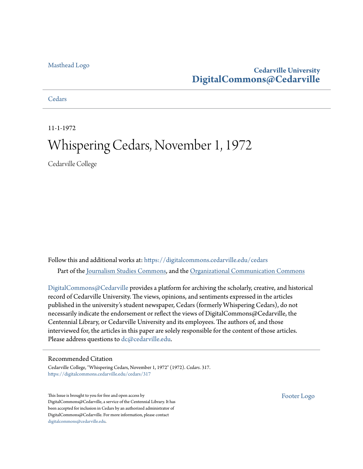#### [Masthead Logo](http://www.cedarville.edu/?utm_source=digitalcommons.cedarville.edu%2Fcedars%2F317&utm_medium=PDF&utm_campaign=PDFCoverPages)

#### **Cedarville University [DigitalCommons@Cedarville](https://digitalcommons.cedarville.edu?utm_source=digitalcommons.cedarville.edu%2Fcedars%2F317&utm_medium=PDF&utm_campaign=PDFCoverPages)**

#### **[Cedars](https://digitalcommons.cedarville.edu/cedars?utm_source=digitalcommons.cedarville.edu%2Fcedars%2F317&utm_medium=PDF&utm_campaign=PDFCoverPages)**

11-1-1972

### Whispering Cedars, November 1, 1972

Cedarville College

Follow this and additional works at: [https://digitalcommons.cedarville.edu/cedars](https://digitalcommons.cedarville.edu/cedars?utm_source=digitalcommons.cedarville.edu%2Fcedars%2F317&utm_medium=PDF&utm_campaign=PDFCoverPages) Part of the [Journalism Studies Commons](http://network.bepress.com/hgg/discipline/333?utm_source=digitalcommons.cedarville.edu%2Fcedars%2F317&utm_medium=PDF&utm_campaign=PDFCoverPages), and the [Organizational Communication Commons](http://network.bepress.com/hgg/discipline/335?utm_source=digitalcommons.cedarville.edu%2Fcedars%2F317&utm_medium=PDF&utm_campaign=PDFCoverPages)

[DigitalCommons@Cedarville](http://digitalcommons.cedarville.edu/) provides a platform for archiving the scholarly, creative, and historical record of Cedarville University. The views, opinions, and sentiments expressed in the articles published in the university's student newspaper, Cedars (formerly Whispering Cedars), do not necessarily indicate the endorsement or reflect the views of DigitalCommons@Cedarville, the Centennial Library, or Cedarville University and its employees. The authors of, and those interviewed for, the articles in this paper are solely responsible for the content of those articles. Please address questions to [dc@cedarville.edu.](mailto:dc@cedarville.edu)

#### Recommended Citation

Cedarville College, "Whispering Cedars, November 1, 1972" (1972). *Cedars*. 317. [https://digitalcommons.cedarville.edu/cedars/317](https://digitalcommons.cedarville.edu/cedars/317?utm_source=digitalcommons.cedarville.edu%2Fcedars%2F317&utm_medium=PDF&utm_campaign=PDFCoverPages)

This Issue is brought to you for free and open access by DigitalCommons@Cedarville, a service of the Centennial Library. It has been accepted for inclusion in Cedars by an authorized administrator of DigitalCommons@Cedarville. For more information, please contact [digitalcommons@cedarville.edu](mailto:digitalcommons@cedarville.edu).

[Footer Logo](http://www.cedarville.edu/Academics/Library.aspx?utm_source=digitalcommons.cedarville.edu%2Fcedars%2F317&utm_medium=PDF&utm_campaign=PDFCoverPages)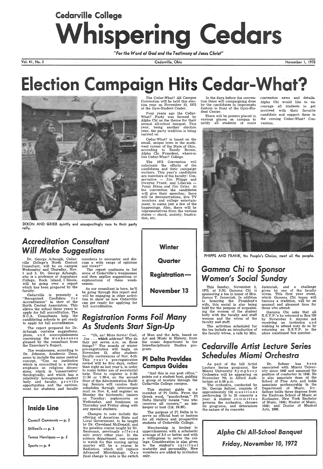# Cedarville College Whispering Cedars

*"For the Word* of *God and the Testimony* of *Jesus Christ"* 

Vol. 41, No. 3

DIXON AND GRIER quietly and unsuspectingly race to their party rally.

#### **Accreditation Consultant** *Will Make Suggestions*

Dr. George Arbaugh, .Cedarville College's North Central Consultant, will be on campus Wednesday and Thursday, Nov. 1 and 2. Dr. George Arbaugh, who is a professor at Augustana College, Rock Island, I llinois, will be going over a report which has been prepared by the faculty:

members to encounter and discuss a wide range of opinions and views?"

The report continues to list some of Cedarville's weaknesses and then applies suggestions or explanations of these weaknesses.

The 1972 Convention will culminate the efforts of the candidates and their campaign workers. This year's candidates are members of the faculty: Conservative — Jim Phipps and Dwayne Frank, and Liberals -Patsy Dixon and Jim Grier. At the convention the candidates will give their speeches; there will be demonstrations, live TV monitors and college entertainment, to name just a few of the happenings. Also, there will be representatives from the various states -- shock, anxiety, frustra-

As our consultant is here, he'll be going through this report and will be engaging in other activities to show us how Cedarville can get ready for applying for full accreditation.

Cedarville, Ohio

The Cedar-What? All Campus Convention will be held this elec-



at the Gym-Student Center.

Four years ago the Cedar-What? Party was formed by Alpha Chi as the theme for their annual all-school banquet. This year, being another election year, the party tradition is being

### *Registration Forms Foil Many*  **As Students Start Sign-Up**

carried on.

Cedar-What? is based on the small, unique town in the southwest corner of the State of Ohio, according to Randy Brown, Alpha Chi President, where-in lies Cedar-What? College.

| Inside Line              |  |  |  |
|--------------------------|--|--|--|
| Council Comments - p. 2. |  |  |  |
| Stillwells — $p. 3$      |  |  |  |
| Teresa Henriques — p. 3  |  |  |  |
| Sports $-$ p. 4          |  |  |  |
|                          |  |  |  |

tion, etc.



Cedarville is presently a "Recognized Candidate for Accreditation" in view of the North Central Association. This allows the school three years to apply for full accreditation. The N. C.A. Consultants help the candidating schools to get ready to apply for full accreditation.

> "And this is our post office," points out a student host, guiding a group of tourists through the Cedarville College campus.

The report prepared for Dr. Arbaugh contains suggestions, plans, and accomplishments concerning the weaknesses gleaned by the consultant from

the Examiner's Report.

The weaknesses, according to Dr. Johnson, Academic Dean, seem to include the same central concept, "Can an institution which is committed to a strong emphasis on religious dimensions, which is 'conservative' theologically, and which has a relatively homogeneous student body and faculty, provide opportunities and the environment for students and faculty

### Gamma' *Chi to Sponsor*  **Women's Social Sunday**

Joe ... which address? Why do they put seven a.m. on these things?" The sounds of winter pre-registration will begin on November 13, after studentfaculty conferences of Nov. 6-10. This year's pre-registration period will be five days, rather than eight as last year's, in order to make better use of secretarial help. Time to register is 8:30- 11:30 or 1:30-4, on the second floor of the Administration Building. Seniors will receive their schedules through intercampus mail on Nov. 6, and register on Monday the thirteenth; juniors on Tuesday; sophomores on Wednesday, and freshmen on

"Oh, no! More forms! Cool, of Man and the Arts, based on Art and Music in History, from the music department to the

> Dr. Seltzer has been associated with Miami University since 1949 and assumed the position of conductor in 1948. He is also associate dean of the School of Fine Arts and holds associate professorship in the Department of Music. Dr. Seltzer holds three degrees from the Eastman School of Music at Rochester, New York Bachelor of Music, 1948; Master of Music, 1949; and Doctor of Musical Arts, 1956.

Thursday and Friday along with

any special students. Changes to note include the offering of American State and Local Government, to be taught by Dr. Cleveland McDonald, and the genetics course taught by Dr. Baumann, previously offered only every other year. In the science department. one course to watch for this coming spring quarter will be a course in Radiation, which will replace Advanced Microbiology. One final change to note is the switch

Interdisciplinary Studies program.

#### Pi Delta Provides Campus Guides

This student guide is a member of Pi Delta. From the Greek word, "pandocheus," Pi Delta literally means "one who receives all comers," an innkeeper or host (Lk. 10:35).

The purpose of Pi Delta is. to serve as official host or hostess for all visitors and prospective students of Cedarville College.

Membership is limited to upperclassmen with a scholastic average of 3.0 or better and with a willingness to serve the college. Consideration is also given to the student's spiritual maturity and personality. New members are added by invitation only.

### **Cedarville Artist Lecture Series** *Schedules Miami Orchestra*

In the days before the convention there will campaigning done by the candidates in impromptu fashion in front of the Gym-Student Center.

There will be posters placed in various places on campus to notify all students of more November I, 1972

# lection Campaign Hits Cedar-What?

convention news and details. Alpha Chi would like to encourage all students to get involved with their favorite candidate and support them in the coming Cedar-What? Convention.



PHIPPS AND FRANK, the People's Choice, meet all the people.

This Sunday, November 5, 1972, at 2:30, Gamma Chi is sponsoring a tea in honor of Mrs. James T. Jeremiah. In addition to honoring the President's wife, this social is also being held for the purpose of acquainting the women of the student body with the faculty and staff women and the wives of the faculty and staff.

The activities scheduled for the tea include an introduction of the faculty wives, a talk by Mrs. Jeremiah, and a challenge given by one of the faculty wives. This first year event, which Gamma Chi hopes will become a tradition, will be an unusual and pleasant time for those who attend.

Gamma Chi asks that all R.S.V.P.'s be returned to Box 759 by November 3. Anyone not receiving an invitation and wishing to attend may do so by returning an R.S.V.P. to the afore mentioned box number.

As part of the fall Artist Lecture Series programs, the Miami University Symphony Orchestra will be appearing on November 7th in Alford Auditorium at 8:00 p.m.

The orchestra, conducted by Dr. George Seltzer, consists of approximately 100 musicians performing 10 to 20 concerts a year. A student committee governs the orchestra, chooses its programs, and determines the nature of its concerts.

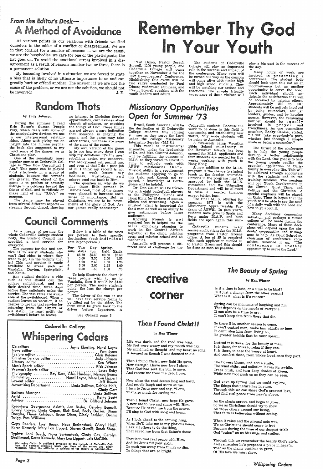## from *the Editor's Desk-*A Method of Avoidance

At various points in our relations with friends we find ourselves in the midst of a conflict or disagreement. We are in that conflict for a number of reasons — we are the cause, we are the busybodies, we care for one of the participants, the list goes on. To avoid the emotional stress involved in a disagreement as a result of reasons number two or three, there is a permanent solution.

By becoming involved in a situation we are forced to state <sup>a</sup>bias that is likely of no ultimate importance to us and can greatly hurt or offend another. The answer: if we are not the cause of the problem, or we are not the solution, we should not be involved!  $-J.E.$ 

# In Your **Remember Thy God**

Paul Dixon, Pastor Joseph<br>Stowell, 1200 young people, and Cedarville College will come<br>together on November 4 for the 1972 Swordbearers' Conference. Highlighting this event will be<br>two rallys conducted by Paul Dixon; student-led seminars, and<br>Pastor Stowell speaking with the<br>youth leaders and adults.

The students of Cedarville<br>College will play an important role in the success and impact of the conference. Many eyes will be turned our way as the campus will come alive with junior high and high school students. They will be watching our actions and reactions. The simple friendly acceptance of these visitors will The students of Cedarville play a big part in the success of College will play an important the day.<br>
The conference. Many eyes will wave be turned our way as the conference. Many eyes will involved in presenting a<br>
be tu

# Random Thots

#### by Judy Johnson

During the summer I read<br>Eric Berne's Games People Play, which deals with some of the manipulative devices we use<br>in our interpersonal relationme and subsequently priving me and insight into the human psyche, the book also suggested to my mind some of the games we as Christians play.<br>One of the seemingly more popular games at Cedarville College is "See How Unspir

Am." This game can be played<br>most effectively in a group of students, because the rewards are greater. The object of the<br>game is to profess or actually indulge in a coldness toward the things of God, and to ridicule or make light of any "S.G.'s" on campus.<br>The game may be played

from several different aspects  $-$  sleeping through chapel, showing

no interest in Christian Service opportunities, carelessness about church attendance, or mocking the things of God. These things that someone is playing the<br>game, and the game may take other forms, but these are some of the signs of the game.

My own version of the game<br>is to see how many days I can<br>skip my devotions. It's the most<br>rebellious action my conservarefive background will permit me, and even at that I do a poor job of it. I think my record is not quite a week before my loneliness, frustration, and misery send me back to Him.

The question is, why do we<br>play these little games? In Berne's book, most of the games were planned to increase one's sense of importance. But as<br>Christians, we are to be instruments of the glory of God. Are our games really necessary?

The purpose for this taxi service is to assist students who can't find rides to where they is.) This taxi service is made available to areas such as Vandalia, Dayton, Springfield,<br>and Xenia.

Any student desiring a ride such as this should call the college switchboard, and set before they anticipate using the<br>service. The taxi rates are available at the switchboard. When a<br>student leaves on vacation, if he desires to use the taxi service for<br>returning from the airport or bus station, he must notify the switchboard before he leaves.

per person to their specific destination: (each individual rate is per-person.) Per- Van- Day- Spring-<br>sons dalia ton field Xenia sons dalia ton

The driver of the van or car will have taxi service forms to<br>be filled out by the rider. The form must be given back to the driver before departure. A

As <sup>a</sup>means of serving the whole Cedarville College student body, the Student Council has provided a taxi service for everyone.

{ Below is a table of the rates

|   |        |        | ------- | -------- |
|---|--------|--------|---------|----------|
| 1 | \$6.50 | \$5.50 | \$3.50  | \$2.50   |
| 2 | 5.00   | 3.50   | 2.00    | 1.50     |
| 3 | 4.00   | 2.50   | 1.50    | 1.25     |
| 4 | 3.00   | 2.00   | 1.25    | 1.00     |
| 5 | 2.50   | 1.50   | 1.00    | . 75     |
|   |        |        |         |          |

To help illustrate the chart; if three people wish to go to Vandalia, then it would be \$4.00 per person. The more students going, the less the charge per person.

#### Open for Summer '73 Brazil, South America, will be the destination of 13 Cedarville

See Council page <sup>3</sup>

under the college Missionary<br>Internship Service (M.I.S.).<br>This vocal or instrumental<br>ensemble, under the leadership of Dr. and Mrs. Clifford Johnson, will be fulfilling the purpose of M.I.S. as they travel to Brazil in June to actively work with<br>ABWE missionaries there.<br>Musical ability is a requirement For students applying to go to this field and, though not required, a knowledge of Portuguese will be helpful.



# corner

Dr. Don Callan will be traveling with eight basketball players to the Philippine Islands and clinics and witnessing. Again a<br>musical talent is important for<br>the 8 men as well as an ability to <sup>g</sup>ive testimonies before large audiences.

Knowing French is not<br>required but is helpful for the M.I.S. applicants planning to work in the Central African Republic at the clinic, printing press and mission school and as mechanics.

|                                                      | Co-editors  Jayne Eberling, Nanci Layne |
|------------------------------------------------------|-----------------------------------------|
|                                                      |                                         |
|                                                      | Feature editor Chris. Rufener           |
|                                                      | Christian Service editor  Judy Johnson  |
|                                                      | Literary editor  Ken Wimer              |
| Men's Sports editor  Rick Johnson                    |                                         |
| Women's Sports editor  Laura Roby                    |                                         |
| Photography  Roy Kern, Glen Huebner, Marcea Bearss   |                                         |
| Circulation  Nanci Layne, Mary Lou Lippert           |                                         |
|                                                      |                                         |
| Advertising Department  Linda Sullivan, Debbie Holt, |                                         |
|                                                      | Cindy Carr                              |
| Business Manager  Linda Sullivan                     |                                         |
|                                                      |                                         |
| Advisor  Dr. Clifford Johnson                        |                                         |

The thrust of the conference is to help the young people develop a better relationship with the Lord. One goal is to help practical application of Chris-<br>tianity in everyday life. This will be achieved through encounters<br>with the students and in the training sessions. The sessions will be: Youth Involvement in the Church, Quiet Time, and Politics and the Christian. A special emphasis will be placed youth will be able to see the need of a daily walk with the Lord and how to go about it.

Reporters: Georgeanna Axiotis, Jan Besler, Carolyn Bonnell, Cheryl Cowen, Linda Cupan, Rick Deal, Becky Decker, Diana Douglas, Elaine Kalnbach, Bruce Olsen, Cindy Rathbun, Dennis Twigg, Pam Williams.

Many decisions concerning salvation and perhaps a future college will be made during the conference. Many of those decisions will depend upon the students' co-operation and willingness to help. As Doug Schroder, chairman of conference committee, summed it up, "The conference is another opportunity to serve the Lord.''

# **Council Comments**

Copy Readers: Lorri Beach, Nova Berkenstock, Cheryl Huff, Karen Kennedy, Mary Lou Lippert, Sharon Gazdik, Sarah Stone.

Then I found Christ, new light He gave, New strength I have new love I show. That God had sent His Son to save, And rescue me from the debt I owe.

Typists: Lorri Beach, Nova Berkenstock, Cindy Cox, Carolyn Grollimund, Karen Kennedy, Mary Lou Lippert, Lois McClish.

Whispering Cedars is published by-weekly by the students of Cedarville Col-<br>lege. The opinions expressed herein are those of the writers and donot<br>necessarily reflect the attitudes or opinions of the faculty or administrat

Then I found Christ, new hope He gave. A new life to live and share with Him. I'll sing to God with song and hymn.

*Page 2* 

The flowers bloom, and add a smile. The wind sighs, and pollution leaves for awhile.<br>Trees blush, and turn deep shades of green, While new root push us so they can be seen.

God gave up Spring that we could explore, The things that nature has in store. Through this we can share God's greatest love, And find real peace from heav'n above.

As the plants sprout, and begin to grow,<br>So we as Christians should try to show<br>All those others around our being, That faith is believeing without seeing.

*Missionary Opportunities* 

College students this coming<br>summer as they serve the Lord

Many hours of work are involved in presenting a<br>conference. The student body<br>should look upon this not as an<br>inconvenience but as another opportunity to serve the Lord. Each individual should anticipate the satisfaction that will<br>be received by helping others. be received by helping or 300<br>Approximately 200 to 300<br>students will be actively involved by being counselors, seminar leaders, guides, and by housing<br>guests. However, the remaining<br>number\_should\_be\_equally involved in p r a y er and friendliness. As one committee member, Becky Canine, stated, "It will take everybody's part, whether just through a simple smile or being a counselor."

Australia will present a dif- ferent kind of challenge for the

Cedarville students. Because the work to be done in this field is<br>canvassing and establishing new canvassing and establishing new<br>works, only male students will be going to Australia.

<sup>A</sup>five-week camp Vacation Bible School ministry in the Hawaiian Islands has been opened for M.I.S. applicants and four students are needed for five weeks working with youth in Hong Kong.

A new addition to the M.I.S. program is the chance to student<br>teach in the foreign countries. Persons in the program must be approved by both the M.I.S. committee and the Education Department and will be allowed to raise all needed finances except tuition fees.

The final M.I.S. offering for summer 1973 is with the Missionary Apprentiseship Pro- . gram of ABWE. In past years, students have gone to Spain and Peru under M.A.P. and both fields are open again this summer.

Cedarville students m a y secure applications for the M.I.S. programs from Pastor Greens office. A fee of \$5 is required with each application turned in to Pastor Green and this should be done as soon as possible.

#### Then I found Christ I I

#### by Ken Wimer

# The Beauty of Spring<br>
Creative Extension of Spring<br>  $\mathbf{c}_b$ <sub>by Ken Wimer</sub>

Life was dark, and the road was long, My feet were weary and my mouth was dry. My mind had no thought- and my heart no song, It seemed as though I was doomed to die.

Now when the road seems long and hard, And people laugh and scorn at me. <sup>I</sup>turn to Jesus now and say, "Lord, Thanx so much for saving me.

As I look ahead to the coming King, When He'll take me to my glorious home. <sup>I</sup>ask all others to do the thing, That saved me from that Satan's dome.

That is to find real peace with Him, And let Jesus fill your sight. To push you away from things so dim, To things that are so bright.

Is it a time to hate, or a time to be kind? Is it just a change from the other season? What is it, what is it's reason?

Spring can be moments of laughing and fun, That depends on the moods of everyone. It can also be a time to cry, It can't keep fate from those that die.

So there it is, another season to come. It can't control man, make him whistle or hum. It can't stop him from living on, To greater heights that he must spawn.

Instead it is there, for the beauty of man. It is there, for folks to relax if they can. It is there, to ease the weary at heart. And comfort those, from whose loved ones they part.

When *it* rains and the ground gets wet, We as Christians should cease to fret Because during the time of our deepest trials God "rains" on us blessings and smiles.

Through this we remember the beauty God's giv'n, And remember he's prepared <sup>a</sup>place in heav'n. That as the plants continue to grow, Of His love we must show.

*Whispering Cedar&*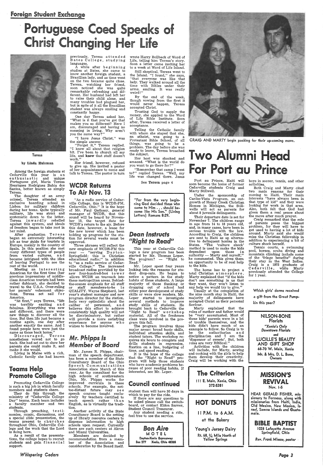#### foreign Student Exchange

# se Coed Speaks of **Christ Changing Her Life**



Teresa

#### by Linda Hulsman

Among the foreign students at Cedarville this year is a n en thusiastic and unique Portuguese girl, Maria Teresa Henriques Rodrigues Bahia dos Santos, better known as simply Teresa.

 The daughter of an army colonel, Teresa attended an exclusive boarding school in Lisbon for military children during her teens. Quite typically military, life was strict and systematic down to the letter. Teresa inwardly rebelled against this system, and ideals of freedom began to take root in her mind.

After graduation Teresa began an extremely interesting job as tour guide for tourists in Europe, mainly in the country of Spain. In this position she met many different types of people from varied cultures, and became intrigued with the idea of leaving Portugal to see the rest of the world.

Meeting an interesting American for the first time (her previous impressions of middleclass American tourists had been rather dubious), she decided to travel to the U.S.A. Over-ruling her parents' vehement objections, Teresa set sail for America.

 "At first," says Teresa, "life was terribly exciting and fabulous. Everything was new and different, and there were new things to discover all the time. But then life just became <sup>a</sup> routine again, one day after another exactly the same. And I found people here were just the same as those back home."

nummer<br>Through preaching, testimonies, music, discussions, and <sup>a</sup>special slide presentation, the teams present to churches throughout Ohio, Cedarville College and the work that the Lord is doing here.

A while after beginning studies at Bates, she came to know another foreign student, <sup>a</sup> Brazilian lady, and as time went on the two became quite close. Teresa, watching her friend, soon noticed she was quite remarkably refreshing and different. Her husband had left her to raise their child alone, and many troubles had plagued her, but in spite of it all the Brazillian student was always smiling and constantly happy.

 Discouraged, Teresa nonetheless vowed not to go

make it she would.

#### WCDR Returns To Air Nov. 13

Living in Maine with a rich, Catholic family she had known

#### Teams Help Promote College

Promoting Cedarville College is such a big job in which faculty members and students share.

They do this through the ministry of "Cedarville College Day" teams. Each team includes <sup>a</sup>faculty member and two students.

As a result of the presentations, the college hopes to recruit students and gain financial support.

back. She had set out to show her **Member of Board** *Mr. Phipps Is* 

*Whispering Cedars* 

previously, Teresa attended Bates College, studying languages.

One day Teresa asked her, "What is it that you've got that makes you so different? Here I am, discouraged and having no meaning in living. Why aren't you the same way?"

"I have Jesus Christ," was the simple answer.

"Forget it," Teresa replied. "I know all about that religion bit. I've been to church all my life, and know that stuff doesn't work."

Her friend, however, refused to give up. She invited a pastor of her acquaintance to come and talk to Teresa. The pastor in turn

"As a radio service of Cedarville College, this is WCDR-FM, Cedarville, Ohio." It is the hope of Mr. Paul Gathany, general manager of WCDR, that this sound will be heard by November 13, the target date for WCDR's return to the air. Before this date, however, a lease for the new tower which has been holding up progress for the station for several weeks must be approved.

Three phrases will reflect the new emphasis of WCDR-FM this year — "serving Dayton-Springfield; this is Christian educational radio;" in addition to "as a radio service of Cedarville College." The increased broadcast radius provided by the new four-hundred-foot tower allows WCDR an toureach into these metropolitan areas. Behindthe-scenes emphasis for all staff or staff members-to-be is QUALITY. Wayne Shepherd, last year's student manager and now program director for the station, feels very optimistic about the caliber of personnel, and believes this effort to achieve consistently high quality will not be discriminatory, but rather will provide <sup>a</sup>more satisfying experience for anyone who wishes to become involved.

The home has to project <sup>a</sup> total Christian at mosphere. Marty explained that "if the kids don't see something in us that they want, they won't listen to any help we would try to give.

Mr. James R. Phipps, chairman of the speech department, has been a member of the State Consultancy Board of the Ohio Speech Communications Association since March of this year., As the consultant for the high schools of southwestern Ohio, Mr. Phipps works for improved curricula in these schools. For example, the nottoo-distant future may s e e speech courses taught exclusively by teachers certified to teach speech rather than English, as is virtually the tradition.

Another activity of the State Consultancy Board is the setting up of library resource centers to dispense information to high schools upon request. Currently there are such centers at Akron and Miami Universities.

Members are decided by recommendation from a member of the Association and consideration by the Board itself.

wrote Harry Bollback of Word of Life, telling him Teresa's story. Soon a letter came inviting her to a week at Word of Life Island.

Still skeptical, Teresa went to the Island. "I found," she says, "that everyone was like that lady. They walked around all the time with Bibles under their arms, smiling. It was really weird!"

By the end of the week, though vowing from the first it would never happen, Teresa accepted Christ.

Trusting God to supply the money, she applied to the Word of Life Bible Institute. Soon after, Teresa received a letter of acceptance.

Telling the Catholic family with whom she stayed that she, an atheist, was going to <sup>a</sup> Protestant Bible School, of all things, was going to be <sup>a</sup> problem. The day before she was ready to leave, Teresa broached the subject.

Her host was shocked and amazed. "What is the world do you want to go there for?"

"Remember that camp I went to?" replied Teresa. "Well, my life was changed there. Jesus

See Teresa page 4

"For from +he very beginning God decided those who came to Him . . . should become like His Son." ( living letters) Romans 8:29.

#### *Dean* Instructs *<sup>11</sup>Right to Read<sup>11</sup>*

This year at Cedarville College a new program has been started by Mr. Thomas Loper. The  $program? -$  "Right to Read."

Mr. Loper spent four years looking into the reasons for student drop-outs. He began to notice a pattern in the study habits of these students. A large majority of those flunking or dropping out of school had either poor development of study skills or were slow readers. Mr. Loper started to investigate several methods to improve study skills of students. He brought back to Cedarville the "Right to Read" w o r ks hop material. All of the freshmen class were involved in the program this fall.

The program involves three major areas: broad basic skills, individual attention skills, and student tutors. The workshop requires six hours to complete and drills students in regression, fixation on a line, budgeting of time, and speed reading. It is the hope of the college that the "Right to Read" program will help those students who have academic problems because of poor reading habits. If interested, see Mr. Loper.



CRAIG AND MARTY begin packing for their up-coming move.

# Two Alumni For Port au Prince

#### Council continued

student then will have 30 days in which to pay for the ride.

If there are any questions to be asked please call the switchboard, or contact Eldon Sarver, Student Council Treasurer.

Any student needing a ride, feel free to use the service.



Port au Prince, Haiti will soon become the home of former Cedarville students Craig and Marty Stillwell.

Under the sponsorship of Caribe-Vista Program, an outgrowth of Honey Creek Christian Homes in Michigan, the Stillwells will act as parents for about 8 juvenile delinquents.

Their departure date is set for November 7. The children range in age from 14 to 18 years old, and, in many cases, have been in serious trouble with the law. According to Craig, the children are sent to Haiti as an alternative to delinquent homes in the States. "The 'culture shock' method is used to make the kids dependent upon those in  $\text{authority} \rightarrow \text{Marty}$  and myself," he commented. This gives them an opportunity to be of real help to the kids.

Usually at the completion of the nine month stay in Haiti, the majority of delinquents have accepted Christ as their personal Saviour.

Marty explained that the roles of mother and father would be "very accentuated. Most of these kids' parents were in a lot of trouble themselves, and the kids didn't have much of an example to follow. So Craig is to be the authoritarian and disciplinarian and I am the 'dispenser of sweets'. But, both roles are very Biblical."

Activities with the children will include, for Marty, sewing and cooking with the girls to help them develop their creativity. Craig will be working with the

boys in soccer, tennis, and other activities.

Both Craig and Marty cited two main reasons for their moving to Haiti. Their main interests "have always been in that type of kid" and they were looking for work in that area. Also, both felt that God had given them a real peace about the move after much prayer.

Craig remarked that the role of parents poses the biggest problem, for they will have to get used to having a lot of kids around. Marty said she would miss the Christian fellowship in addition to experiencing a bit of culture shock herself.



Tennis courts, a swimming pool, horses, scuba diving and mountain climbing include some of the 'fringe benefits" during their stay in the West Indies. Craig is a 1972 graduate of Cedarville, while Marty previously attended the College for 1 year.

Which girls' dorms received a gift from the Great Pumpkin +his year?

NILSON-BONE Florists *"Xenia's Only Downtown Florists*  and LUCILLE'S BEAUTY AND GIFT SHOP 68-70 W. Main, Xenia Mr. & Mrs. D. l. Bone, Owners